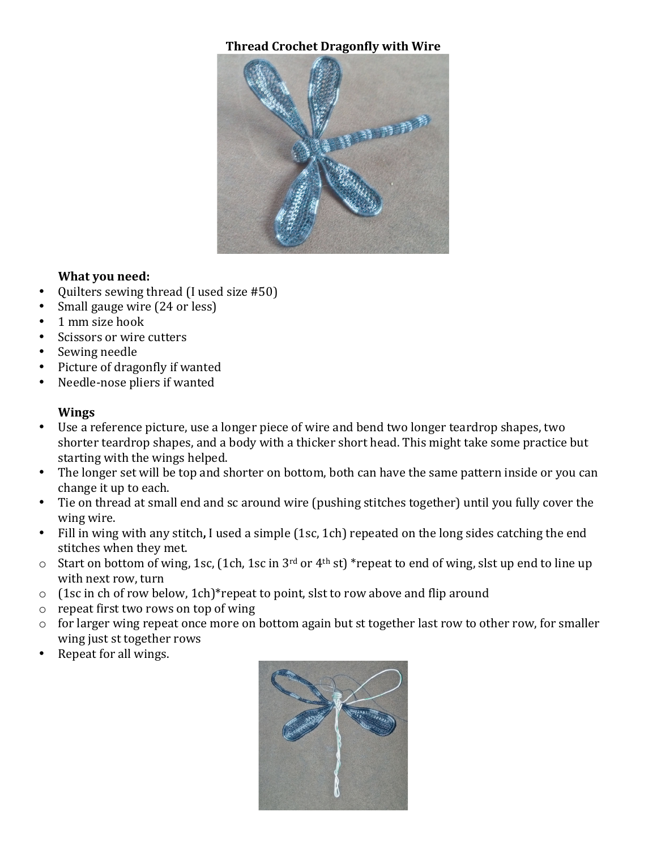## **Thread Crochet Dragonfly with Wire**



## **What you need:**

- Quilters sewing thread (I used size #50)
- Small gauge wire (24 or less)
- 1 mm size hook
- Scissors or wire cutters
- Sewing needle
- Picture of dragonfly if wanted
- Needle-nose pliers if wanted

#### **Wings**

- Use a reference picture, use a longer piece of wire and bend two longer teardrop shapes, two shorter teardrop shapes, and a body with a thicker short head. This might take some practice but starting with the wings helped.
- The longer set will be top and shorter on bottom, both can have the same pattern inside or you can change it up to each.
- Tie on thread at small end and sc around wire (pushing stitches together) until you fully cover the wing wire.
- Fill in wing with any stitch**,** I used a simple (1sc, 1ch) repeated on the long sides catching the end stitches when they met.
- $\circ$  Start on bottom of wing, 1sc, (1ch, 1sc in 3<sup>rd</sup> or 4<sup>th</sup> st) \*repeat to end of wing, slst up end to line up with next row, turn
- o (1sc in ch of row below, 1ch)\*repeat to point, slst to row above and flip around
- o repeat first two rows on top of wing
- o for larger wing repeat once more on bottom again but st together last row to other row, for smaller wing just st together rows
- Repeat for all wings.